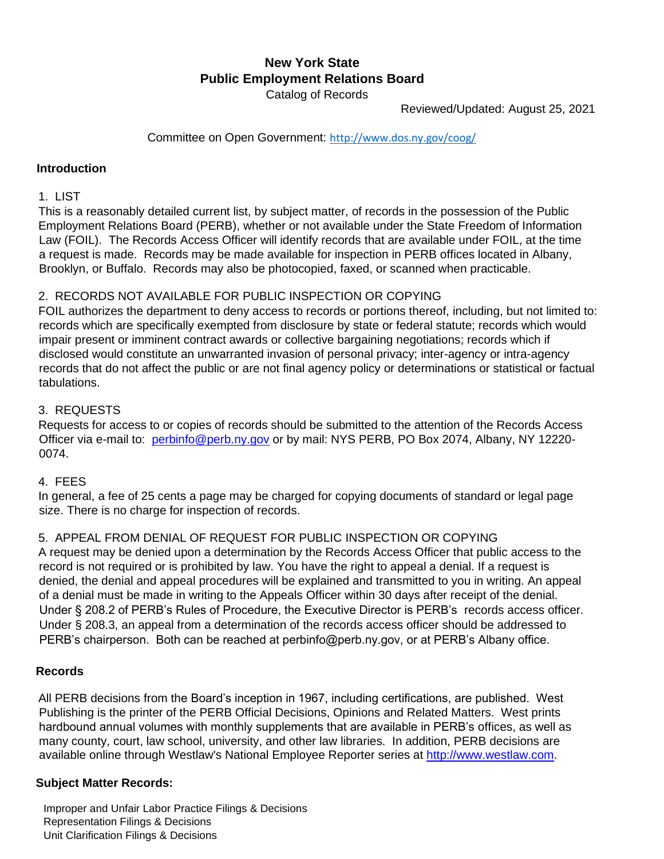# **New York State Public Employment Relations Board**  Catalog of Records

Reviewed/Updated: August 25, 2021

Committee on Open Government: <http://www.dos.ny.gov/coog/>

### **Introduction**

## 1. LIST

This is a reasonably detailed current list, by subject matter, of records in the possession of the Public Employment Relations Board (PERB), whether or not available under the State Freedom of Information Law (FOIL). The Records Access Officer will identify records that are available under FOIL, at the time a request is made. Records may be made available for inspection in PERB offices located in Albany, Brooklyn, or Buffalo. Records may also be photocopied, faxed, or scanned when practicable.

### 2. RECORDS NOT AVAILABLE FOR PUBLIC INSPECTION OR COPYING

FOIL authorizes the department to deny access to records or portions thereof, including, but not limited to: records which are specifically exempted from disclosure by state or federal statute; records which would impair present or imminent contract awards or collective bargaining negotiations; records which if disclosed would constitute an unwarranted invasion of personal privacy; inter-agency or intra-agency records that do not affect the public or are not final agency policy or determinations or statistical or factual tabulations.

### 3. REQUESTS

Requests for access to or copies of records should be submitted to the attention of the Records Access Officer via e-mail to: perbinfo@perb.ny.gov or by mail: NYS PERB, PO Box 2074, Albany, NY 12220-0074.

#### 4. FEES

In general, a fee of 25 cents a page may be charged for copying documents of standard or legal page size. There is no charge for inspection of records.

## 5. APPEAL FROM DENIAL OF REQUEST FOR PUBLIC INSPECTION OR COPYING

A request may be denied upon a determination by the Records Access Officer that public access to the record is not required or is prohibited by law. You have the right to appeal a denial. If a request is denied, the denial and appeal procedures will be explained and transmitted to you in writing. An appeal of a denial must be made in writing to the Appeals Officer within 30 days after receipt of the denial. Under § 208.2 of PERB's Rules of Procedure, the Executive Director is PERB's records access officer. Under § 208.3, an appeal from a determination of the records access officer should be addressed to PERB's chairperson. Both can be reached at perbinfo@perb.ny.gov, or at PERB's Albany office.

#### **Records**

All PERB decisions from the Board's inception in 1967, including certifications, are published. West Publishing is the printer of the PERB Official Decisions, Opinions and Related Matters. West prints hardbound annual volumes with monthly supplements that are available in PERB's offices, as well as many county, court, law school, university, and other law libraries. In addition, PERB decisions are available online through Westlaw's National Employee Reporter series at http://www.westlaw.com.

### **Subject Matter Records:**

Improper and Unfair Labor Practice Filings & Decisions Representation Filings & Decisions Unit Clarification Filings & Decisions